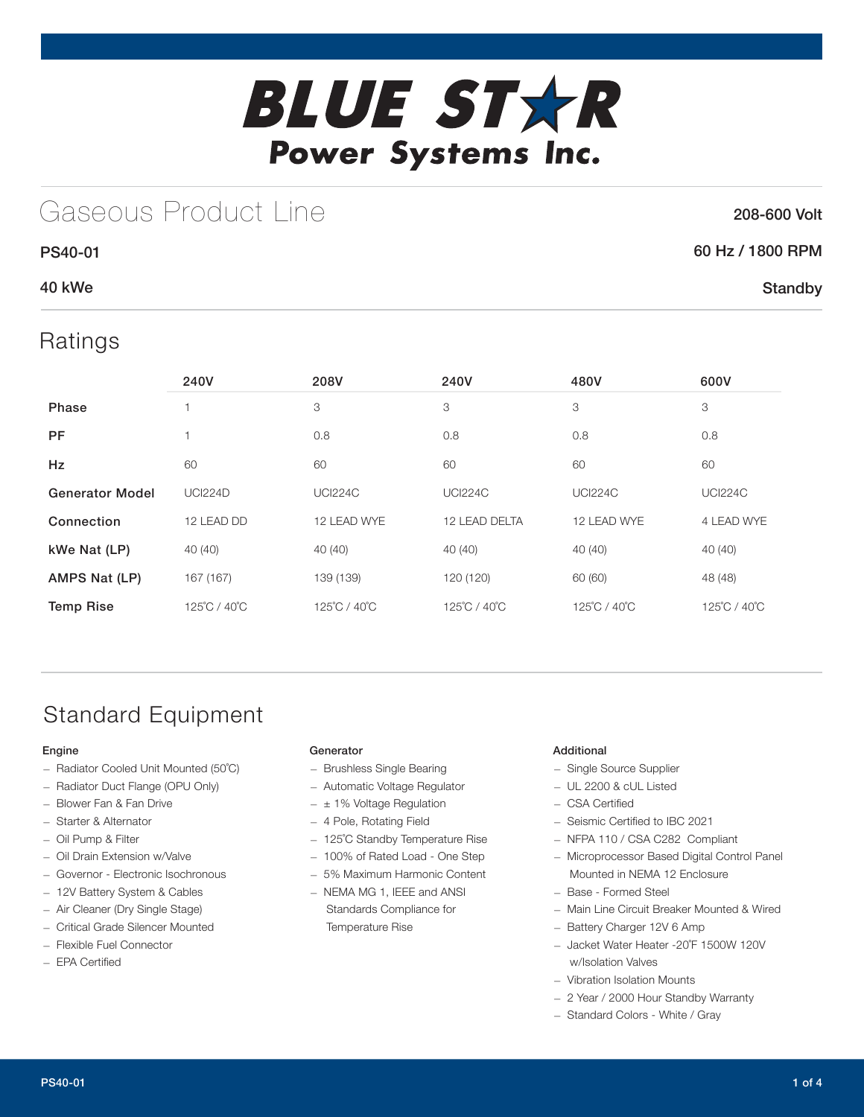

# Gaseous Product Line

### 208-600 Volt

**Standby** 

### 60 Hz / 1800 RPM

### 40 kWe

PS40-01

Ratings

|                        | 240V           | 208V           | 240V           | 480V           | 600V           |
|------------------------|----------------|----------------|----------------|----------------|----------------|
| Phase                  |                | 3              | 3              | 3              | 3              |
| <b>PF</b>              | 1              | 0.8            | 0.8            | 0.8            | 0.8            |
| Hz                     | 60             | 60             | 60             | 60             | 60             |
| <b>Generator Model</b> | <b>UCI224D</b> | <b>UCI224C</b> | <b>UCI224C</b> | <b>UCI224C</b> | <b>UCI224C</b> |
| Connection             | 12 LEAD DD     | 12 LEAD WYE    | 12 LEAD DELTA  | 12 LEAD WYE    | 4 LEAD WYE     |
| kWe Nat (LP)           | 40(40)         | 40 (40)        | 40 (40)        | 40 (40)        | 40 (40)        |
| AMPS Nat (LP)          | 167 (167)      | 139 (139)      | 120 (120)      | 60 (60)        | 48 (48)        |
| <b>Temp Rise</b>       | 125°C / 40°C   | 125°C / 40°C   | 125°C / 40°C   | 125°C / 40°C   | 125°C / 40°C   |

## Standard Equipment

#### Engine

- Radiator Cooled Unit Mounted (50˚C)
- Radiator Duct Flange (OPU Only)
- Blower Fan & Fan Drive
- Starter & Alternator — Oil Pump & Filter
- Oil Drain Extension w/Valve
- Governor Electronic Isochronous
- 12V Battery System & Cables
- Air Cleaner (Dry Single Stage)
- Critical Grade Silencer Mounted
- Flexible Fuel Connector
- EPA Certified

#### **Generator**

- Brushless Single Bearing
- Automatic Voltage Regulator
- $\pm$  1% Voltage Regulation
- 4 Pole, Rotating Field
- 125˚C Standby Temperature Rise
- 100% of Rated Load One Step
- 5% Maximum Harmonic Content
- NEMA MG 1, IEEE and ANSI Standards Compliance for Temperature Rise

#### Additional

- Single Source Supplier
- UL 2200 & cUL Listed
- CSA Certified
- Seismic Certified to IBC 2021
- NFPA 110 / CSA C282 Compliant
- Microprocessor Based Digital Control Panel Mounted in NEMA 12 Enclosure
- Base Formed Steel
- Main Line Circuit Breaker Mounted & Wired
- Battery Charger 12V 6 Amp
- Jacket Water Heater -20˚F 1500W 120V w/Isolation Valves
- Vibration Isolation Mounts
- 2 Year / 2000 Hour Standby Warranty
- Standard Colors White / Gray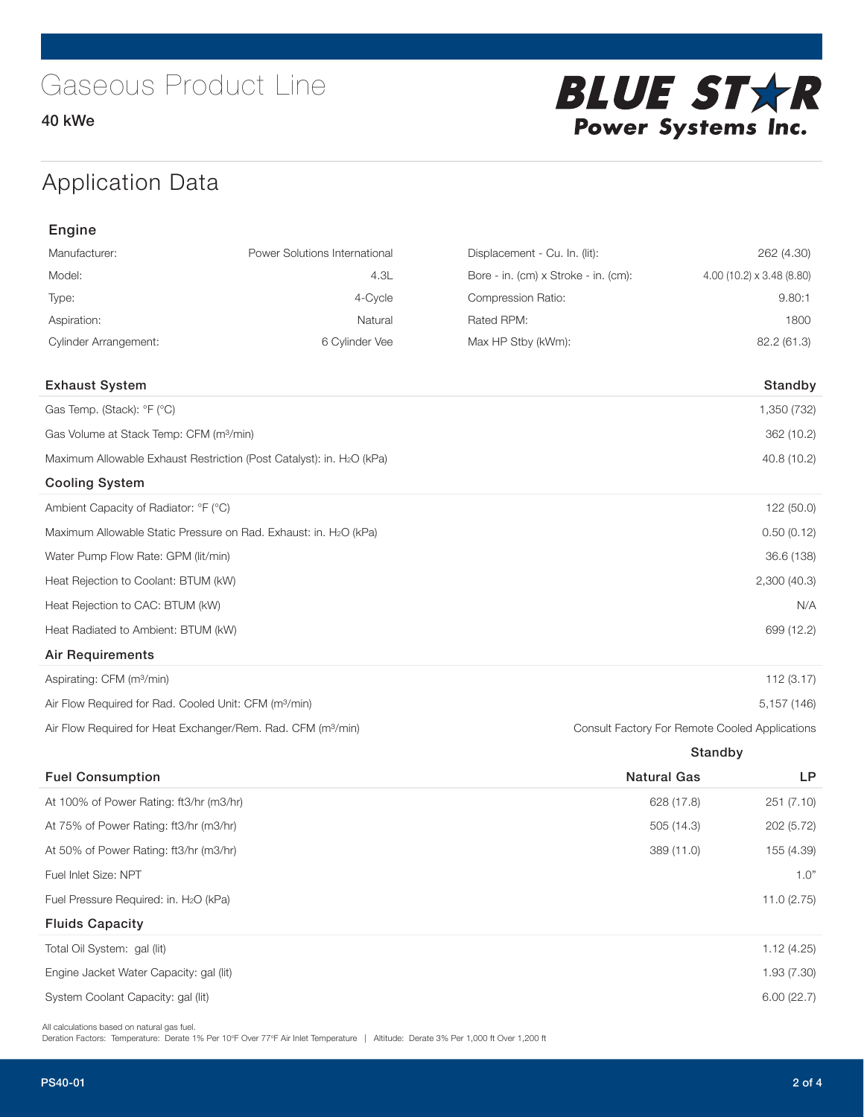### Application Data

| Engine                                                                            |                                                                  |                                      |                           |
|-----------------------------------------------------------------------------------|------------------------------------------------------------------|--------------------------------------|---------------------------|
| Manufacturer:                                                                     | Power Solutions International                                    | Displacement - Cu. In. (lit):        | 262 (4.30)                |
| Model:                                                                            | 4.3L                                                             | Bore - in. (cm) x Stroke - in. (cm): | 4.00 (10.2) x 3.48 (8.80) |
| Type:                                                                             | 4-Cycle                                                          | Compression Ratio:                   | 9.80:1                    |
| Aspiration:                                                                       | Natural                                                          | Rated RPM:                           | 1800                      |
| <b>Cylinder Arrangement:</b>                                                      | 6 Cylinder Vee                                                   | Max HP Stby (kWm):                   | 82.2 (61.3)               |
| <b>Exhaust System</b>                                                             |                                                                  |                                      | Standby                   |
| Gas Temp. (Stack): °F (°C)                                                        |                                                                  |                                      | 1,350 (732)               |
| Gas Volume at Stack Temp: CFM (m <sup>3</sup> /min)                               |                                                                  |                                      | 362 (10.2)                |
| Maximum Allowable Exhaust Restriction (Post Catalyst): in. H <sub>2</sub> O (kPa) | 40.8 (10.2)                                                      |                                      |                           |
| <b>Cooling System</b>                                                             |                                                                  |                                      |                           |
| Ambient Capacity of Radiator: °F (°C)                                             |                                                                  |                                      | 122 (50.0)                |
|                                                                                   | Maximum Allowable Static Pressure on Rad. Exhaust: in. H2O (kPa) |                                      | 0.50(0.12)                |
| Water Pump Flow Rate: GPM (lit/min)                                               |                                                                  |                                      | 36.6 (138)                |
| Heat Rejection to Coolant: BTUM (kW)                                              |                                                                  |                                      | 2,300(40.3)               |
| Heat Rejection to CAC: BTUM (kW)                                                  |                                                                  |                                      | N/A                       |
| Heat Radiated to Ambient: BTUM (kW)                                               | 699 (12.2)                                                       |                                      |                           |
| Air Requirements                                                                  |                                                                  |                                      |                           |
|                                                                                   |                                                                  |                                      |                           |

| Aspirating: CFM (m <sup>3</sup> /min)                                    | 112(3.17)                                      |
|--------------------------------------------------------------------------|------------------------------------------------|
| Air Flow Required for Rad. Cooled Unit: CFM (m <sup>3</sup> /min)        | 5.157 (146)                                    |
| Air Flow Required for Heat Exchanger/Rem. Rad. CFM (m <sup>3</sup> /min) | Consult Factory For Remote Cooled Applications |

|                                                    | Standby            |            |  |
|----------------------------------------------------|--------------------|------------|--|
| <b>Fuel Consumption</b>                            | <b>Natural Gas</b> | <b>LP</b>  |  |
| At 100% of Power Rating: ft3/hr (m3/hr)            | 628 (17.8)         | 251 (7.10) |  |
| At 75% of Power Rating: ft3/hr (m3/hr)             | 505(14.3)          | 202 (5.72) |  |
| At 50% of Power Rating: ft3/hr (m3/hr)             | 389 (11.0)         | 155 (4.39) |  |
| Fuel Inlet Size: NPT                               |                    | 1.0"       |  |
| Fuel Pressure Required: in. H <sub>2</sub> O (kPa) |                    | 11.0(2.75) |  |
| <b>Fluids Capacity</b>                             |                    |            |  |
| Total Oil System: gal (lit)                        |                    | 1.12(4.25) |  |
| Engine Jacket Water Capacity: gal (lit)            |                    | 1.93(7.30) |  |
| System Coolant Capacity: gal (lit)                 |                    | 6.00(22.7) |  |
|                                                    |                    |            |  |

All calculations based on natural gas fuel.

Deration Factors: Temperature: Derate 1% Per 10°F Over 77°F Air Inlet Temperature | Altitude: Derate 3% Per 1,000 ft Over 1,200 ft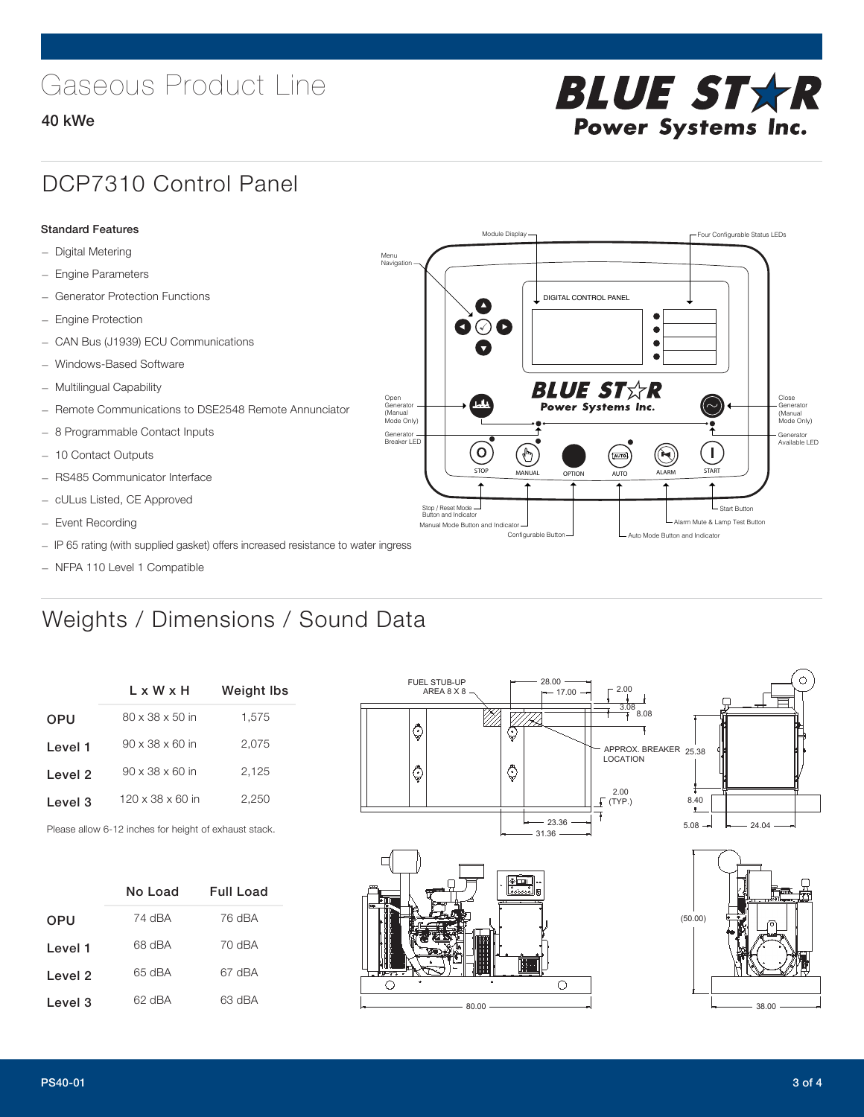# Gaseous Product Line

### 40 kWe

# **BLUE STAR** Power Systems Inc.

### DCP7310 Control Panel

#### Standard Features

- Digital Metering
- Engine Parameters
- Generator Protection Functions
- Engine Protection
- CAN Bus (J1939) ECU Communications
- Windows-Based Software
- Multilingual Capability
- Remote Communications to DSE2548 Remote Annunciator
- 8 Programmable Contact Inputs
- 10 Contact Outputs
- RS485 Communicator Interface
- cULus Listed, CE Approved
- Event Recording
- IP 65 rating (with supplied gasket) offers increased resistance to water ingress
- NFPA 110 Level 1 Compatible

### Weights / Dimensions / Sound Data

|            | L x W x H                    | <b>Weight Ibs</b> |
|------------|------------------------------|-------------------|
| <b>OPU</b> | $80 \times 38 \times 50$ in  | 1.575             |
| Level 1    | $90 \times 38 \times 60$ in  | 2,075             |
| Level 2    | $90 \times 38 \times 60$ in  | 2,125             |
| Level 3    | $120 \times 38 \times 60$ in | 2.250             |
|            |                              |                   |

Please allow 6-12 inches for height of exhaust stack.

|         | No Load | Full Load |
|---------|---------|-----------|
| OPU     | 74 dBA  | 76 dBA    |
| Level 1 | 68 dBA  | 70 dBA    |
| Level 2 | 65 dBA  | 67 dBA    |
| Level 3 | 62 dBA  | 63 dBA    |



STOP MANUAL OPTION AUTO ALARM START

[AUTO]

**BLUE STAR** Power Systems Inc.

Manual Mode Button and Indicator United States and Indicator United States and Indicator United States and Indicator United States and Indicator United States and Indicator United States and Indicator United States and Ind Configurable Button -  $\Box$  Auto Mode Button and Indicator

DIGITAL CONTROL PANEL

Module Display  $\Box$ 

 $\bullet$  $\bullet$  $\bullet$ 

 $\circledcirc$ 

Menu Navigation

Open Generator (Manual Mode Only)

Generator Breaker LED

Stop / Reset Mode Button and Indicator

 $\bullet$  $\bullet$   $\circ$   $\bullet$ 

 $\sigma$ 

 $\mathbf{r}$ 



Close Generator (Manual Mode Only)

Generator Available LED

L Start Button

 $\blacksquare$